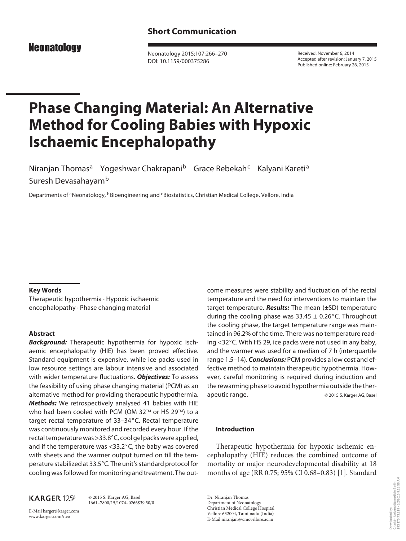**Neonatology** 

 Neonatology 2015;107:266–270 DOI: 10.1159/000375286

 Received: November 6, 2014 Accepted after revision: January 7, 2015 Published online: February 26, 2015

# **Phase Changing Material: An Alternative Method for Cooling Babies with Hypoxic Ischaemic Encephalopathy**

Niranjan Thomas<sup>a</sup> Yogeshwar Chakrapani<sup>b</sup> Grace Rebekah<sup>c</sup> Kalyani Kareti<sup>a</sup> Suresh Devasahayam<sup>b</sup>

Departments of <sup>a</sup> Neonatology, <sup>b</sup> Bioengineering and <sup>c</sup> Biostatistics, Christian Medical College, Vellore, India

#### **Key Words**

 Therapeutic hypothermia · Hypoxic ischaemic encephalopathy · Phase changing material

## **Abstract**

*Background:* Therapeutic hypothermia for hypoxic ischaemic encephalopathy (HIE) has been proved effective. Standard equipment is expensive, while ice packs used in low resource settings are labour intensive and associated with wider temperature fluctuations. *Objectives:* To assess the feasibility of using phase changing material (PCM) as an alternative method for providing therapeutic hypothermia. *Methods:* We retrospectively analysed 41 babies with HIE who had been cooled with PCM (OM 32 $TM$  or HS 29 $TM$ ) to a target rectal temperature of 33-34°C. Rectal temperature was continuously monitored and recorded every hour. If the rectal temperature was >33.8°C, cool gel packs were applied, and if the temperature was  $<$ 33.2 $\degree$ C, the baby was covered with sheets and the warmer output turned on till the temperature stabilized at 33.5°C. The unit's standard protocol for cooling was followed for monitoring and treatment. The out-

# **KARGER 125**

 © 2015 S. Karger AG, Basel 1661–7800/15/1074–0266\$39.50/0

E-Mail karger@karger.com www.karger.com/neo

come measures were stability and fluctuation of the rectal temperature and the need for interventions to maintain the target temperature. *Results:* The mean (±SD) temperature during the cooling phase was  $33.45 \pm 0.26$ °C. Throughout the cooling phase, the target temperature range was maintained in 96.2% of the time. There was no temperature reading <32°C. With HS 29, ice packs were not used in any baby, and the warmer was used for a median of 7 h (interquartile range 1.5–14). *Conclusions:* PCM provides a low cost and effective method to maintain therapeutic hypothermia. However, careful monitoring is required during induction and the rewarming phase to avoid hypothermia outside the therapeutic range. © 2015 S. Karger AG, Basel

### **Introduction**

 Therapeutic hypothermia for hypoxic ischemic encephalopathy (HIE) reduces the combined outcome of mortality or major neurodevelopmental disability at 18 months of age (RR 0.75; 95% CI 0.68–0.83) [1] . Standard

 Dr. Niranjan Thomas Department of Neonatology Christian Medical College Hospital Vellore 632004, Tamilnadu (India) E-Mail niranjan @ cmcvellore.ac.in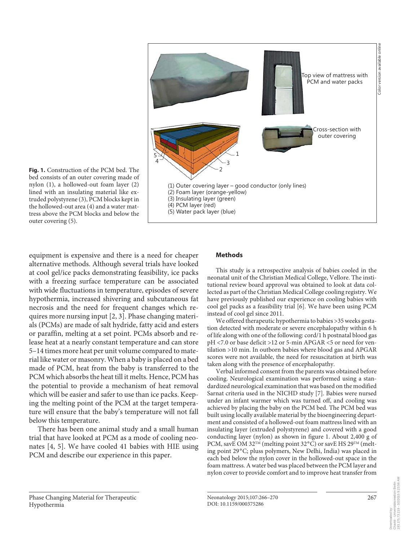

**Fig. 1.** Construction of the PCM bed. The bed consists of an outer covering made of nylon (1), a hollowed-out foam layer (2) lined with an insulating material like extruded polystyrene (3), PCM blocks kept in the hollowed-out area (4) and a water mattress above the PCM blocks and below the outer covering (5).

equipment is expensive and there is a need for cheaper alternative methods. Although several trials have looked at cool gel/ice packs demonstrating feasibility, ice packs with a freezing surface temperature can be associated with wide fluctuations in temperature, episodes of severe hypothermia, increased shivering and subcutaneous fat necrosis and the need for frequent changes which requires more nursing input [2, 3] . Phase changing materials (PCMs) are made of salt hydride, fatty acid and esters or paraffin, melting at a set point. PCMs absorb and release heat at a nearly constant temperature and can store 5–14 times more heat per unit volume compared to material like water or masonry. When a baby is placed on a bed made of PCM, heat from the baby is transferred to the PCM which absorbs the heat till it melts. Hence, PCM has the potential to provide a mechanism of heat removal which will be easier and safer to use than ice packs. Keeping the melting point of the PCM at the target temperature will ensure that the baby's temperature will not fall below this temperature.

 There has been one animal study and a small human trial that have looked at PCM as a mode of cooling neonates  $[4, 5]$ . We have cooled 41 babies with HIE using PCM and describe our experience in this paper.

#### **Methods**

 This study is a retrospective analysis of babies cooled in the neonatal unit of the Christian Medical College, Vellore. The institutional review board approval was obtained to look at data collected as part of the Christian Medical College cooling registry. We have previously published our experience on cooling babies with cool gel packs as a feasibility trial [6] . We have been using PCM instead of cool gel since 2011.

 We offered therapeutic hypothermia to babies >35 weeks gestation detected with moderate or severe encephalopathy within 6 h of life along with one of the following: cord/1 h postnatal blood gas pH <7.0 or base deficit >12 or 5-min APGAR <5 or need for ventilation >10 min. In outborn babies where blood gas and APGAR scores were not available, the need for resuscitation at birth was taken along with the presence of encephalopathy.

 Verbal informed consent from the parents was obtained before cooling. Neurological examination was performed using a standardized neurological examination that was based on the modified Sarnat criteria used in the NICHD study [7]. Babies were nursed under an infant warmer which was turned off, and cooling was achieved by placing the baby on the PCM bed. The PCM bed was built using locally available material by the bioengineering department and consisted of a hollowed-out foam mattress lined with an insulating layer (extruded polystyrene) and covered with a good conducting layer (nylon) as shown in figure 1. About 2,400 g of PCM, savE OM 32<sup>TM</sup> (melting point 32°C) or savE HS 29<sup>TM</sup> (melting point 29°C; pluss polymers, New Delhi, India) was placed in each bed below the nylon cover in the hollowed-out space in the foam mattress. A water bed was placed between the PCM layer and nylon cover to provide comfort and to improve heat transfer from

Downloaded by: Charité - Universitätsmedizin Berlin 193.175.73.219 - 3/2/2015 9:23:56 AM

Charté - Universitätsmedizin Berlin<br>193.175.73.219 - 3/2/2015 9:23:56 AM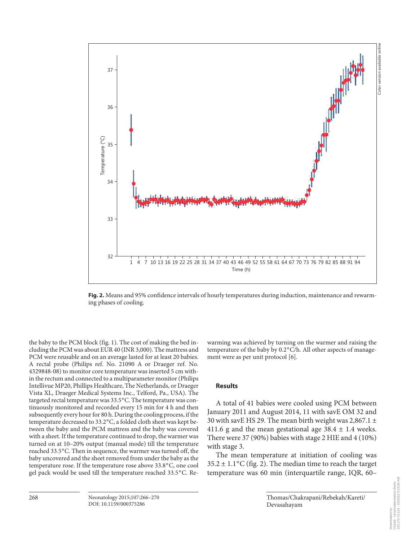

Color version available online

Color version available onlin



**Fig. 2.** Means and 95% confidence intervals of hourly temperatures during induction, maintenance and rewarming phases of cooling.

the baby to the PCM block (fig. 1). The cost of making the bed including the PCM was about EUR 40 (INR 3,000). The mattress and PCM were reusable and on an average lasted for at least 20 babies. A rectal probe (Philips ref. No. 21090 A or Draeger ref. No. 4329848-08) to monitor core temperature was inserted 5 cm within the rectum and connected to a multiparameter monitor (Philips Intellivue MP20, Phillips Healthcare, The Netherlands, or Draeger Vista XL, Draeger Medical Systems Inc., Telford, Pa., USA). The targeted rectal temperature was 33.5°C. The temperature was continuously monitored and recorded every 15 min for 4 h and then subsequently every hour for 80 h. During the cooling process, if the temperature decreased to 33.2°C, a folded cloth sheet was kept between the baby and the PCM mattress and the baby was covered with a sheet. If the temperature continued to drop, the warmer was turned on at 10–20% output (manual mode) till the temperature reached 33.5°C. Then in sequence, the warmer was turned off, the baby uncovered and the sheet removed from under the baby as the temperature rose. If the temperature rose above 33.8 ° C, one cool gel pack would be used till the temperature reached 33.5 ° C. Re-

37

warming was achieved by turning on the warmer and raising the temperature of the baby by 0.2°C/h. All other aspects of management were as per unit protocol [6].

#### **Results**

 A total of 41 babies were cooled using PCM between January 2011 and August 2014, 11 with savE OM 32 and 30 with savE HS 29. The mean birth weight was 2,867.1  $\pm$ 411.6 g and the mean gestational age  $38.4 \pm 1.4$  weeks. There were 37 (90%) babies with stage 2 HIE and 4 (10%) with stage 3.

 The mean temperature at initiation of cooling was  $35.2 \pm 1.1$  °C (fig. 2). The median time to reach the target temperature was 60 min (interquartile range, IQR, 60–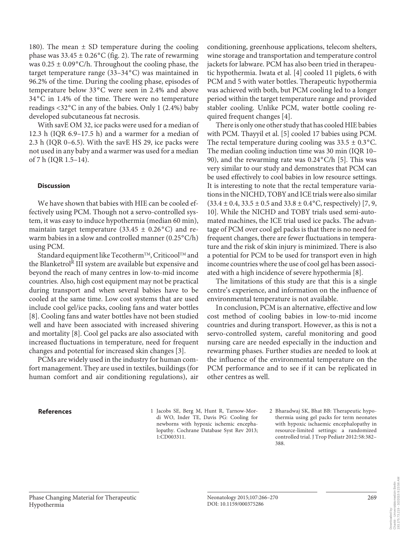180). The mean  $\pm$  SD temperature during the cooling phase was  $33.45 \pm 0.26$ °C (fig. 2). The rate of rewarming was  $0.25 \pm 0.09$ °C/h. Throughout the cooling phase, the target temperature range (33-34°C) was maintained in 96.2% of the time. During the cooling phase, episodes of temperature below 33°C were seen in 2.4% and above 34 ° C in 1.4% of the time. There were no temperature readings <32°C in any of the babies. Only 1 (2.4%) baby developed subcutaneous fat necrosis.

 With savE OM 32, ice packs were used for a median of 12.3 h (IQR 6.9–17.5 h) and a warmer for a median of 2.3 h (IQR 0–6.5). With the savE HS 29, ice packs were not used in any baby and a warmer was used for a median of 7 h (IQR 1.5–14).

#### **Discussion**

 We have shown that babies with HIE can be cooled effectively using PCM. Though not a servo-controlled system, it was easy to induce hypothermia (median 60 min), maintain target temperature (33.45  $\pm$  0.26°C) and rewarm babies in a slow and controlled manner (0.25°C/h) using PCM.

Standard equipment like Tecotherm<sup>TM</sup>, Criticool<sup>TM</sup> and the Blanketrol<sup>R</sup> III system are available but expensive and beyond the reach of many centres in low-to-mid income countries. Also, high cost equipment may not be practical during transport and when several babies have to be cooled at the same time. Low cost systems that are used include cool gel/ice packs, cooling fans and water bottles [8]. Cooling fans and water bottles have not been studied well and have been associated with increased shivering and mortality [8]. Cool gel packs are also associated with increased fluctuations in temperature, need for frequent changes and potential for increased skin changes [3] .

 PCMs are widely used in the industry for human comfort management. They are used in textiles, buildings (for human comfort and air conditioning regulations), air conditioning, greenhouse applications, telecom shelters, wine storage and transportation and temperature control jackets for labware. PCM has also been tried in therapeutic hypothermia. Iwata et al. [4] cooled 11 piglets, 6 with PCM and 5 with water bottles. Therapeutic hypothermia was achieved with both, but PCM cooling led to a longer period within the target temperature range and provided stabler cooling. Unlike PCM, water bottle cooling required frequent changes [4].

 There is only one other study that has cooled HIE babies with PCM. Thayyil et al. [5] cooled 17 babies using PCM. The rectal temperature during cooling was  $33.5 \pm 0.3$  °C. The median cooling induction time was 30 min (IQR 10– 90), and the rewarming rate was  $0.24^{\circ}$ C/h [5]. This was very similar to our study and demonstrates that PCM can be used effectively to cool babies in low resource settings. It is interesting to note that the rectal temperature variations in the NICHD, TOBY and ICE trials were also similar  $(33.4 \pm 0.4, 33.5 \pm 0.5 \text{ and } 33.8 \pm 0.4^{\circ} \text{C},$  respectively) [7, 9, 10]. While the NICHD and TOBY trials used semi-automated machines, the ICE trial used ice packs. The advantage of PCM over cool gel packs is that there is no need for frequent changes, there are fewer fluctuations in temperature and the risk of skin injury is minimized. There is also a potential for PCM to be used for transport even in high income countries where the use of cool gel has been associated with a high incidence of severe hypothermia [8] .

 The limitations of this study are that this is a single centre's experience, and information on the influence of environmental temperature is not available.

 In conclusion, PCM is an alternative, effective and low cost method of cooling babies in low-to-mid income countries and during transport. However, as this is not a servo-controlled system, careful monitoring and good nursing care are needed especially in the induction and rewarming phases. Further studies are needed to look at the influence of the environmental temperature on the PCM performance and to see if it can be replicated in other centres as well.

**References** 1 Jacobs SE, Berg M, Hunt R, Tarnow-Mordi WO, Inder TE, Davis PG: Cooling for newborns with hypoxic ischemic encephalopathy. Cochrane Database Syst Rev 2013; 1:CD003311.

 2 Bharadwaj SK, Bhat BB: Therapeutic hypothermia using gel packs for term neonates with hypoxic ischaemic encephalopathy in resource-limited settings: a randomized controlled trial. J Trop Pediatr 2012:58:382– 388.